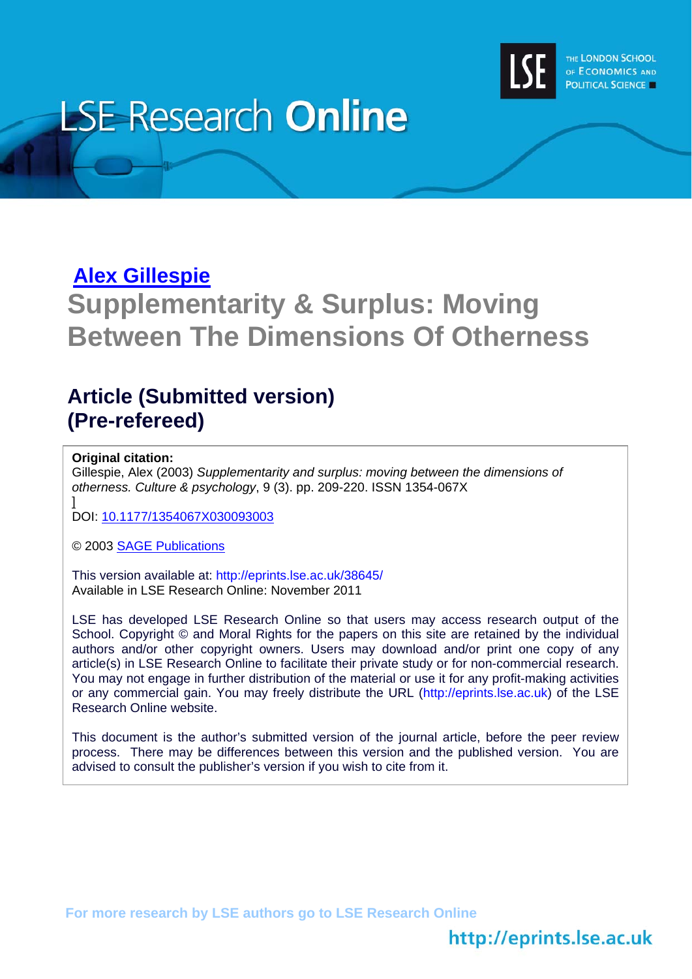

# **LSE Research Online**

# **[Alex Gillespie](http://www2.lse.ac.uk/researchAndExpertise/Experts/profile.aspx?KeyValue=a.t.gillespie@lse.ac.uk)**

# **Supplementarity & Surplus: Moving Between The Dimensions Of Otherness**

## **Article (Submitted version) (Pre-refereed)**

#### **Original citation:**

Gillespie, Alex (2003) *Supplementarity and surplus: moving between the dimensions of otherness. Culture & psychology*, 9 (3). pp. 209-220. ISSN 1354-067X ]

DOI: [10.1177/1354067X030093003](http://cap.sagepub.com/content/9/3/209)

© 2003 [SAGE Publications](http://www.sagepub.com/home.nav)

This version available at: http://eprints.lse.ac.uk/38645/ Available in LSE Research Online: November 2011

LSE has developed LSE Research Online so that users may access research output of the School. Copyright © and Moral Rights for the papers on this site are retained by the individual authors and/or other copyright owners. Users may download and/or print one copy of any article(s) in LSE Research Online to facilitate their private study or for non-commercial research. You may not engage in further distribution of the material or use it for any profit-making activities or any commercial gain. You may freely distribute the URL (http://eprints.lse.ac.uk) of the LSE Research Online website.

This document is the author's submitted version of the journal article, before the peer review process. There may be differences between this version and the published version. You are advised to consult the publisher's version if you wish to cite from it.

**For more research by LSE authors go to [LSE Research Online](http://eprints.lse.ac.uk/)** 

## http://eprints.lse.ac.uk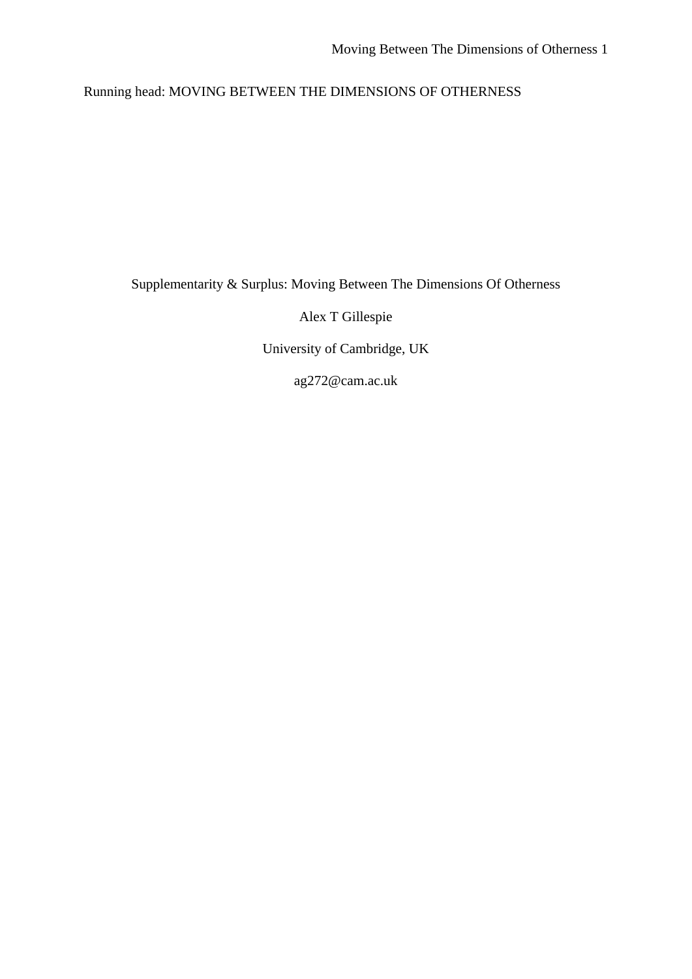Running head: MOVING BETWEEN THE DIMENSIONS OF OTHERNESS

Supplementarity & Surplus: Moving Between The Dimensions Of Otherness

Alex T Gillespie

University of Cambridge, UK

ag272@cam.ac.uk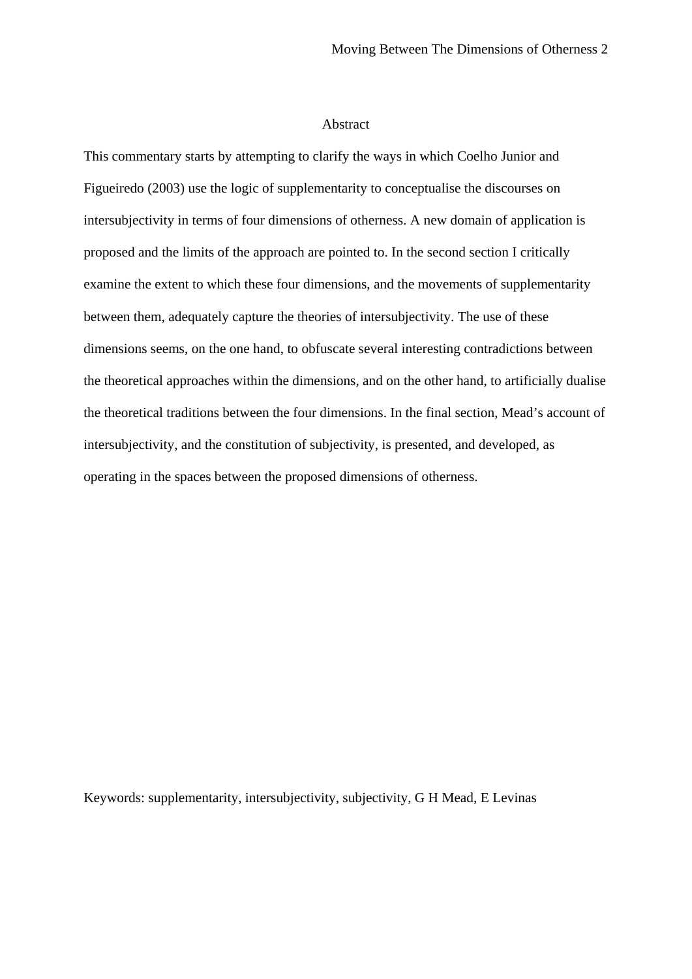#### Abstract

This commentary starts by attempting to clarify the ways in which Coelho Junior and Figueiredo (2003) use the logic of supplementarity to conceptualise the discourses on intersubjectivity in terms of four dimensions of otherness. A new domain of application is proposed and the limits of the approach are pointed to. In the second section I critically examine the extent to which these four dimensions, and the movements of supplementarity between them, adequately capture the theories of intersubjectivity. The use of these dimensions seems, on the one hand, to obfuscate several interesting contradictions between the theoretical approaches within the dimensions, and on the other hand, to artificially dualise the theoretical traditions between the four dimensions. In the final section, Mead's account of intersubjectivity, and the constitution of subjectivity, is presented, and developed, as operating in the spaces between the proposed dimensions of otherness.

Keywords: supplementarity, intersubjectivity, subjectivity, G H Mead, E Levinas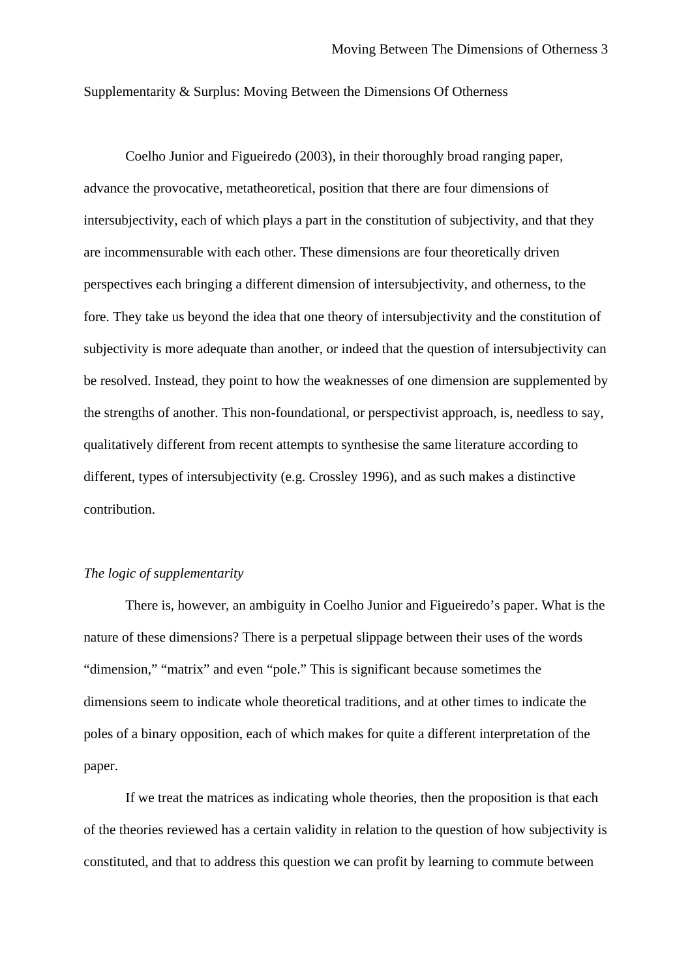Supplementarity & Surplus: Moving Between the Dimensions Of Otherness

Coelho Junior and Figueiredo (2003), in their thoroughly broad ranging paper, advance the provocative, metatheoretical, position that there are four dimensions of intersubjectivity, each of which plays a part in the constitution of subjectivity, and that they are incommensurable with each other. These dimensions are four theoretically driven perspectives each bringing a different dimension of intersubjectivity, and otherness, to the fore. They take us beyond the idea that one theory of intersubjectivity and the constitution of subjectivity is more adequate than another, or indeed that the question of intersubjectivity can be resolved. Instead, they point to how the weaknesses of one dimension are supplemented by the strengths of another. This non-foundational, or perspectivist approach, is, needless to say, qualitatively different from recent attempts to synthesise the same literature according to different, types of intersubjectivity (e.g. Crossley 1996), and as such makes a distinctive contribution.

#### *The logic of supplementarity*

There is, however, an ambiguity in Coelho Junior and Figueiredo's paper. What is the nature of these dimensions? There is a perpetual slippage between their uses of the words "dimension," "matrix" and even "pole." This is significant because sometimes the dimensions seem to indicate whole theoretical traditions, and at other times to indicate the poles of a binary opposition, each of which makes for quite a different interpretation of the paper.

If we treat the matrices as indicating whole theories, then the proposition is that each of the theories reviewed has a certain validity in relation to the question of how subjectivity is constituted, and that to address this question we can profit by learning to commute between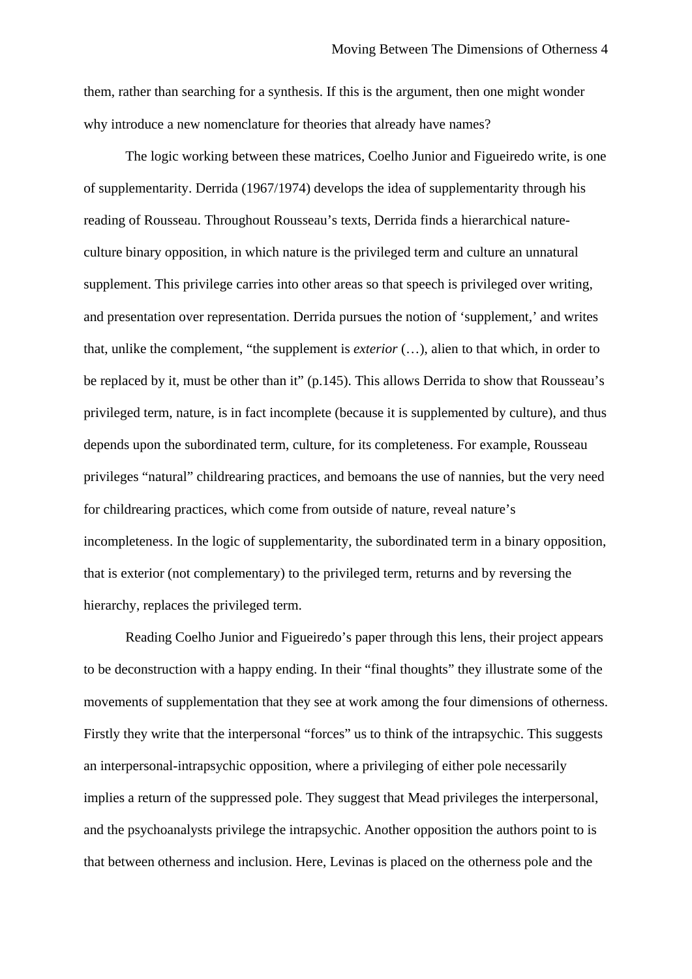them, rather than searching for a synthesis. If this is the argument, then one might wonder why introduce a new nomenclature for theories that already have names?

The logic working between these matrices, Coelho Junior and Figueiredo write, is one of supplementarity. Derrida (1967/1974) develops the idea of supplementarity through his reading of Rousseau. Throughout Rousseau's texts, Derrida finds a hierarchical natureculture binary opposition, in which nature is the privileged term and culture an unnatural supplement. This privilege carries into other areas so that speech is privileged over writing, and presentation over representation. Derrida pursues the notion of 'supplement,' and writes that, unlike the complement, "the supplement is *exterior* (…), alien to that which, in order to be replaced by it, must be other than it" (p.145). This allows Derrida to show that Rousseau's privileged term, nature, is in fact incomplete (because it is supplemented by culture), and thus depends upon the subordinated term, culture, for its completeness. For example, Rousseau privileges "natural" childrearing practices, and bemoans the use of nannies, but the very need for childrearing practices, which come from outside of nature, reveal nature's incompleteness. In the logic of supplementarity, the subordinated term in a binary opposition, that is exterior (not complementary) to the privileged term, returns and by reversing the hierarchy, replaces the privileged term.

Reading Coelho Junior and Figueiredo's paper through this lens, their project appears to be deconstruction with a happy ending. In their "final thoughts" they illustrate some of the movements of supplementation that they see at work among the four dimensions of otherness. Firstly they write that the interpersonal "forces" us to think of the intrapsychic. This suggests an interpersonal-intrapsychic opposition, where a privileging of either pole necessarily implies a return of the suppressed pole. They suggest that Mead privileges the interpersonal, and the psychoanalysts privilege the intrapsychic. Another opposition the authors point to is that between otherness and inclusion. Here, Levinas is placed on the otherness pole and the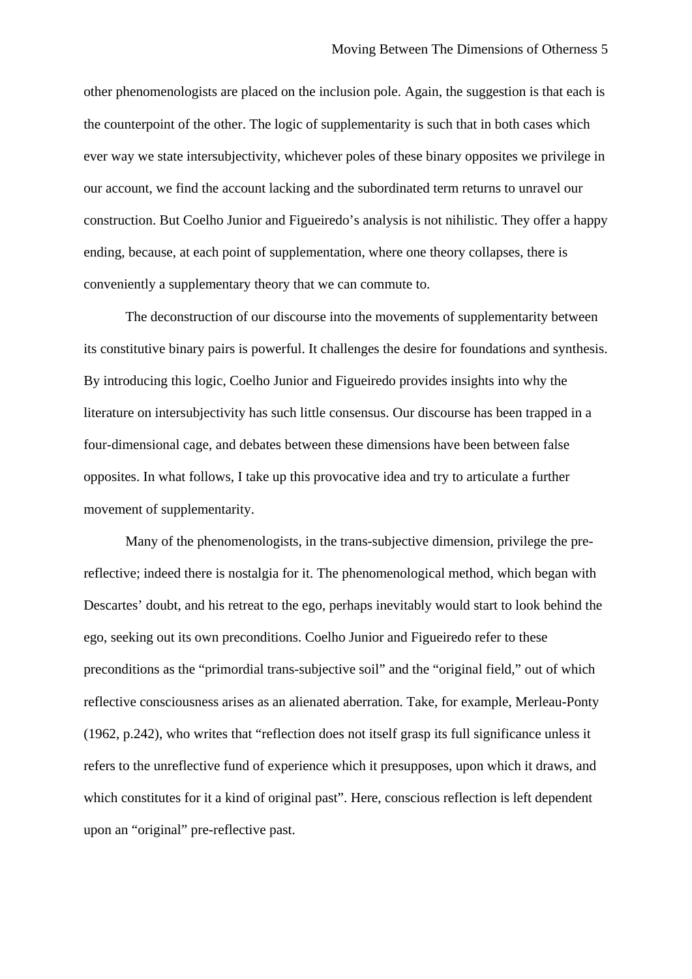other phenomenologists are placed on the inclusion pole. Again, the suggestion is that each is the counterpoint of the other. The logic of supplementarity is such that in both cases which ever way we state intersubjectivity, whichever poles of these binary opposites we privilege in our account, we find the account lacking and the subordinated term returns to unravel our construction. But Coelho Junior and Figueiredo's analysis is not nihilistic. They offer a happy ending, because, at each point of supplementation, where one theory collapses, there is conveniently a supplementary theory that we can commute to.

The deconstruction of our discourse into the movements of supplementarity between its constitutive binary pairs is powerful. It challenges the desire for foundations and synthesis. By introducing this logic, Coelho Junior and Figueiredo provides insights into why the literature on intersubjectivity has such little consensus. Our discourse has been trapped in a four-dimensional cage, and debates between these dimensions have been between false opposites. In what follows, I take up this provocative idea and try to articulate a further movement of supplementarity.

Many of the phenomenologists, in the trans-subjective dimension, privilege the prereflective; indeed there is nostalgia for it. The phenomenological method, which began with Descartes' doubt, and his retreat to the ego, perhaps inevitably would start to look behind the ego, seeking out its own preconditions. Coelho Junior and Figueiredo refer to these preconditions as the "primordial trans-subjective soil" and the "original field," out of which reflective consciousness arises as an alienated aberration. Take, for example, Merleau-Ponty (1962, p.242), who writes that "reflection does not itself grasp its full significance unless it refers to the unreflective fund of experience which it presupposes, upon which it draws, and which constitutes for it a kind of original past". Here, conscious reflection is left dependent upon an "original" pre-reflective past.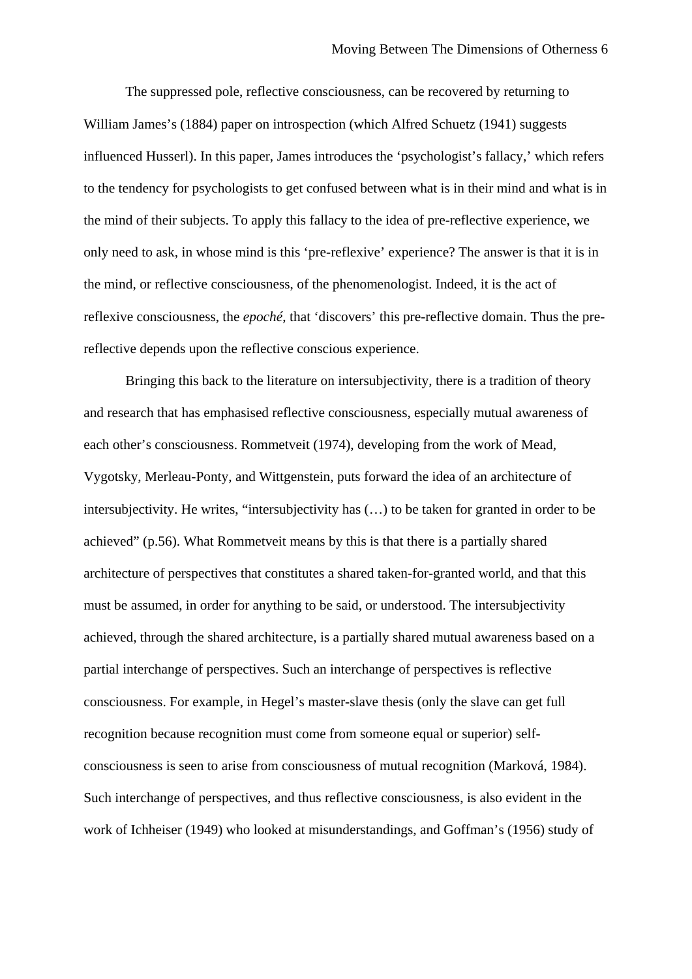The suppressed pole, reflective consciousness, can be recovered by returning to William James's (1884) paper on introspection (which Alfred Schuetz (1941) suggests influenced Husserl). In this paper, James introduces the 'psychologist's fallacy,' which refers to the tendency for psychologists to get confused between what is in their mind and what is in the mind of their subjects. To apply this fallacy to the idea of pre-reflective experience, we only need to ask, in whose mind is this 'pre-reflexive' experience? The answer is that it is in the mind, or reflective consciousness, of the phenomenologist. Indeed, it is the act of reflexive consciousness, the *epoché*, that 'discovers' this pre-reflective domain. Thus the prereflective depends upon the reflective conscious experience.

Bringing this back to the literature on intersubjectivity, there is a tradition of theory and research that has emphasised reflective consciousness, especially mutual awareness of each other's consciousness. Rommetveit (1974), developing from the work of Mead, Vygotsky, Merleau-Ponty, and Wittgenstein, puts forward the idea of an architecture of intersubjectivity. He writes, "intersubjectivity has (…) to be taken for granted in order to be achieved" (p.56). What Rommetveit means by this is that there is a partially shared architecture of perspectives that constitutes a shared taken-for-granted world, and that this must be assumed, in order for anything to be said, or understood. The intersubjectivity achieved, through the shared architecture, is a partially shared mutual awareness based on a partial interchange of perspectives. Such an interchange of perspectives is reflective consciousness. For example, in Hegel's master-slave thesis (only the slave can get full recognition because recognition must come from someone equal or superior) selfconsciousness is seen to arise from consciousness of mutual recognition (Marková, 1984). Such interchange of perspectives, and thus reflective consciousness, is also evident in the work of Ichheiser (1949) who looked at misunderstandings, and Goffman's (1956) study of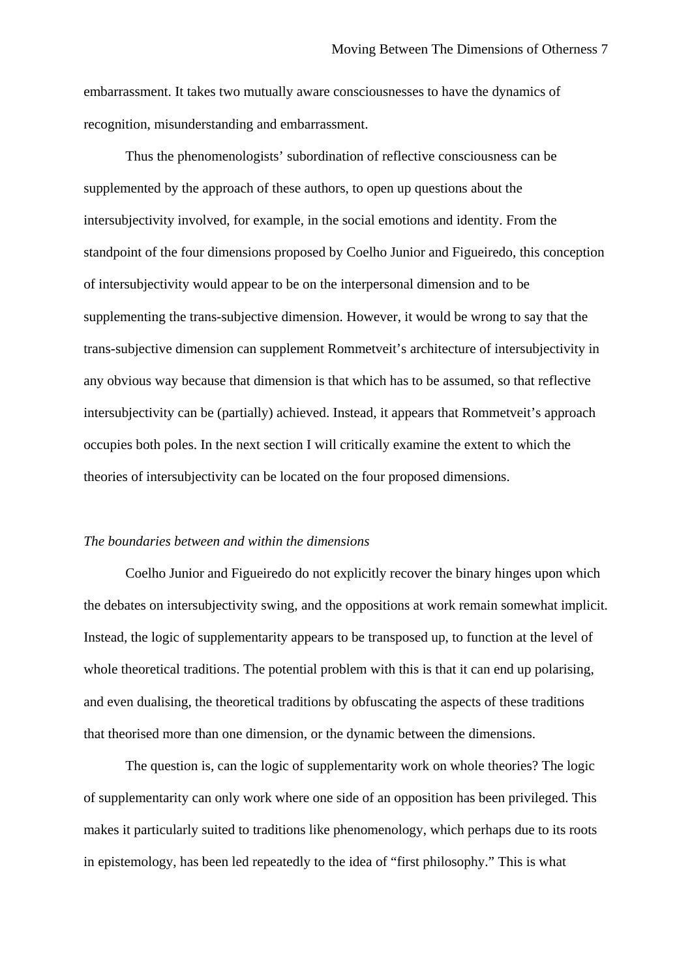embarrassment. It takes two mutually aware consciousnesses to have the dynamics of recognition, misunderstanding and embarrassment.

Thus the phenomenologists' subordination of reflective consciousness can be supplemented by the approach of these authors, to open up questions about the intersubjectivity involved, for example, in the social emotions and identity. From the standpoint of the four dimensions proposed by Coelho Junior and Figueiredo, this conception of intersubjectivity would appear to be on the interpersonal dimension and to be supplementing the trans-subjective dimension. However, it would be wrong to say that the trans-subjective dimension can supplement Rommetveit's architecture of intersubjectivity in any obvious way because that dimension is that which has to be assumed, so that reflective intersubjectivity can be (partially) achieved. Instead, it appears that Rommetveit's approach occupies both poles. In the next section I will critically examine the extent to which the theories of intersubjectivity can be located on the four proposed dimensions.

#### *The boundaries between and within the dimensions*

Coelho Junior and Figueiredo do not explicitly recover the binary hinges upon which the debates on intersubjectivity swing, and the oppositions at work remain somewhat implicit. Instead, the logic of supplementarity appears to be transposed up, to function at the level of whole theoretical traditions. The potential problem with this is that it can end up polarising, and even dualising, the theoretical traditions by obfuscating the aspects of these traditions that theorised more than one dimension, or the dynamic between the dimensions.

The question is, can the logic of supplementarity work on whole theories? The logic of supplementarity can only work where one side of an opposition has been privileged. This makes it particularly suited to traditions like phenomenology, which perhaps due to its roots in epistemology, has been led repeatedly to the idea of "first philosophy." This is what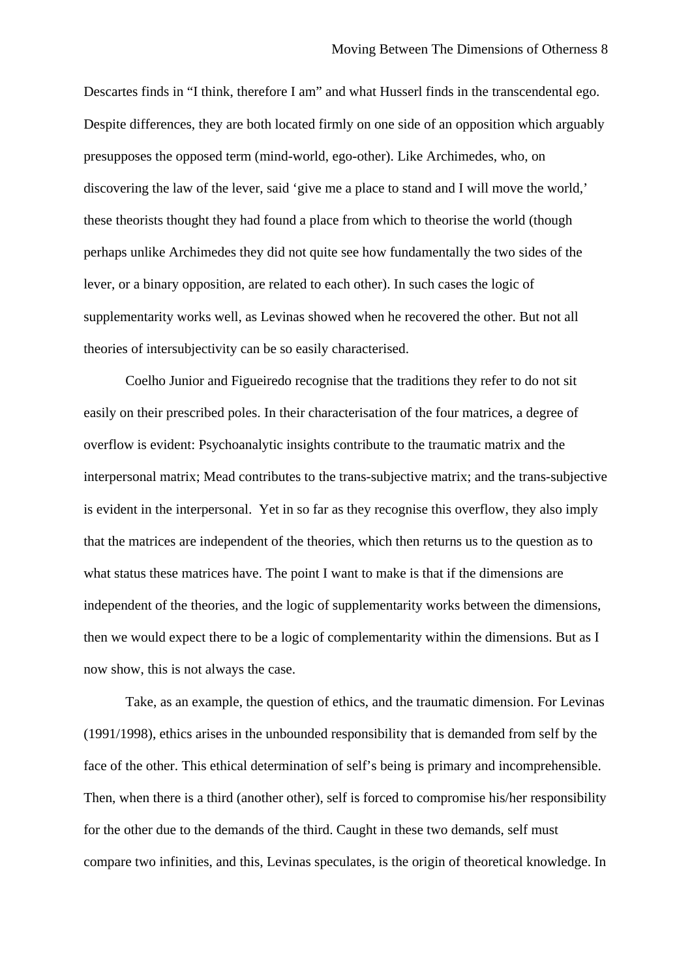Descartes finds in "I think, therefore I am" and what Husserl finds in the transcendental ego. Despite differences, they are both located firmly on one side of an opposition which arguably presupposes the opposed term (mind-world, ego-other). Like Archimedes, who, on discovering the law of the lever, said 'give me a place to stand and I will move the world,' these theorists thought they had found a place from which to theorise the world (though perhaps unlike Archimedes they did not quite see how fundamentally the two sides of the lever, or a binary opposition, are related to each other). In such cases the logic of supplementarity works well, as Levinas showed when he recovered the other. But not all theories of intersubjectivity can be so easily characterised.

Coelho Junior and Figueiredo recognise that the traditions they refer to do not sit easily on their prescribed poles. In their characterisation of the four matrices, a degree of overflow is evident: Psychoanalytic insights contribute to the traumatic matrix and the interpersonal matrix; Mead contributes to the trans-subjective matrix; and the trans-subjective is evident in the interpersonal. Yet in so far as they recognise this overflow, they also imply that the matrices are independent of the theories, which then returns us to the question as to what status these matrices have. The point I want to make is that if the dimensions are independent of the theories, and the logic of supplementarity works between the dimensions, then we would expect there to be a logic of complementarity within the dimensions. But as I now show, this is not always the case.

Take, as an example, the question of ethics, and the traumatic dimension. For Levinas (1991/1998), ethics arises in the unbounded responsibility that is demanded from self by the face of the other. This ethical determination of self's being is primary and incomprehensible. Then, when there is a third (another other), self is forced to compromise his/her responsibility for the other due to the demands of the third. Caught in these two demands, self must compare two infinities, and this, Levinas speculates, is the origin of theoretical knowledge. In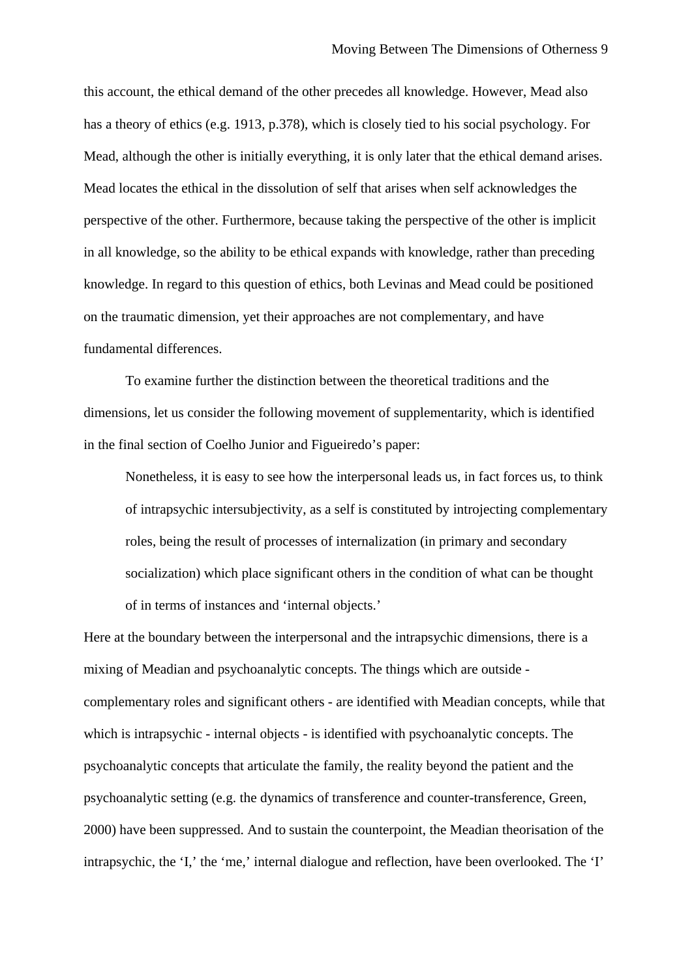this account, the ethical demand of the other precedes all knowledge. However, Mead also has a theory of ethics (e.g. 1913, p.378), which is closely tied to his social psychology. For Mead, although the other is initially everything, it is only later that the ethical demand arises. Mead locates the ethical in the dissolution of self that arises when self acknowledges the perspective of the other. Furthermore, because taking the perspective of the other is implicit in all knowledge, so the ability to be ethical expands with knowledge, rather than preceding knowledge. In regard to this question of ethics, both Levinas and Mead could be positioned on the traumatic dimension, yet their approaches are not complementary, and have fundamental differences.

To examine further the distinction between the theoretical traditions and the dimensions, let us consider the following movement of supplementarity, which is identified in the final section of Coelho Junior and Figueiredo's paper:

Nonetheless, it is easy to see how the interpersonal leads us, in fact forces us, to think of intrapsychic intersubjectivity, as a self is constituted by introjecting complementary roles, being the result of processes of internalization (in primary and secondary socialization) which place significant others in the condition of what can be thought of in terms of instances and 'internal objects.'

Here at the boundary between the interpersonal and the intrapsychic dimensions, there is a mixing of Meadian and psychoanalytic concepts. The things which are outside complementary roles and significant others - are identified with Meadian concepts, while that which is intrapsychic - internal objects - is identified with psychoanalytic concepts. The psychoanalytic concepts that articulate the family, the reality beyond the patient and the psychoanalytic setting (e.g. the dynamics of transference and counter-transference, Green, 2000) have been suppressed. And to sustain the counterpoint, the Meadian theorisation of the intrapsychic, the 'I,' the 'me,' internal dialogue and reflection, have been overlooked. The 'I'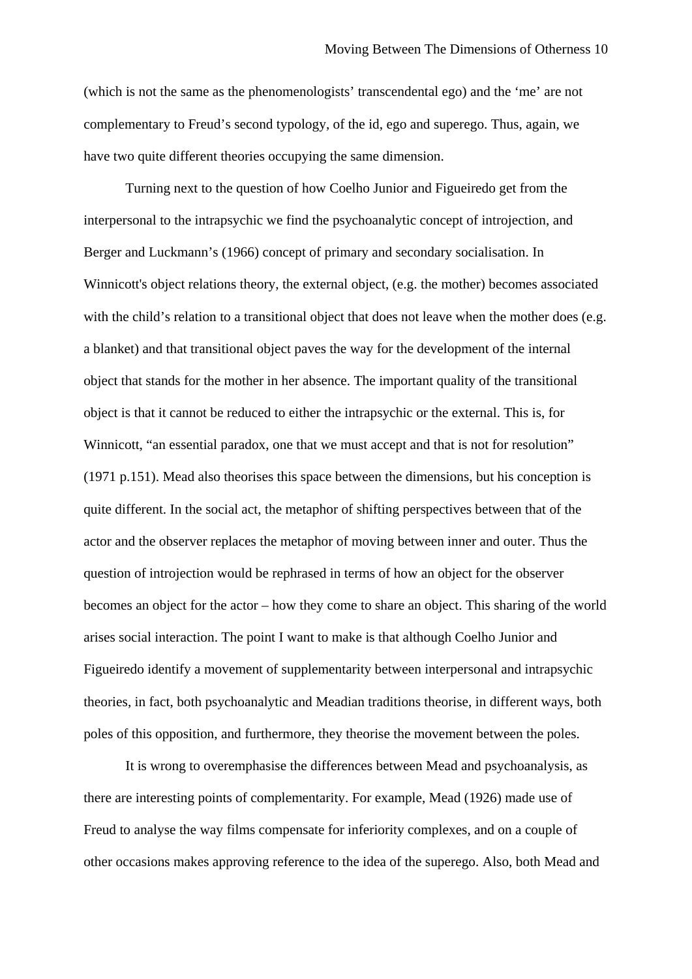(which is not the same as the phenomenologists' transcendental ego) and the 'me' are not complementary to Freud's second typology, of the id, ego and superego. Thus, again, we have two quite different theories occupying the same dimension.

Turning next to the question of how Coelho Junior and Figueiredo get from the interpersonal to the intrapsychic we find the psychoanalytic concept of introjection, and Berger and Luckmann's (1966) concept of primary and secondary socialisation. In Winnicott's object relations theory, the external object, (e.g. the mother) becomes associated with the child's relation to a transitional object that does not leave when the mother does (e.g. a blanket) and that transitional object paves the way for the development of the internal object that stands for the mother in her absence. The important quality of the transitional object is that it cannot be reduced to either the intrapsychic or the external. This is, for Winnicott, "an essential paradox, one that we must accept and that is not for resolution" (1971 p.151). Mead also theorises this space between the dimensions, but his conception is quite different. In the social act, the metaphor of shifting perspectives between that of the actor and the observer replaces the metaphor of moving between inner and outer. Thus the question of introjection would be rephrased in terms of how an object for the observer becomes an object for the actor – how they come to share an object. This sharing of the world arises social interaction. The point I want to make is that although Coelho Junior and Figueiredo identify a movement of supplementarity between interpersonal and intrapsychic theories, in fact, both psychoanalytic and Meadian traditions theorise, in different ways, both poles of this opposition, and furthermore, they theorise the movement between the poles.

It is wrong to overemphasise the differences between Mead and psychoanalysis, as there are interesting points of complementarity. For example, Mead (1926) made use of Freud to analyse the way films compensate for inferiority complexes, and on a couple of other occasions makes approving reference to the idea of the superego. Also, both Mead and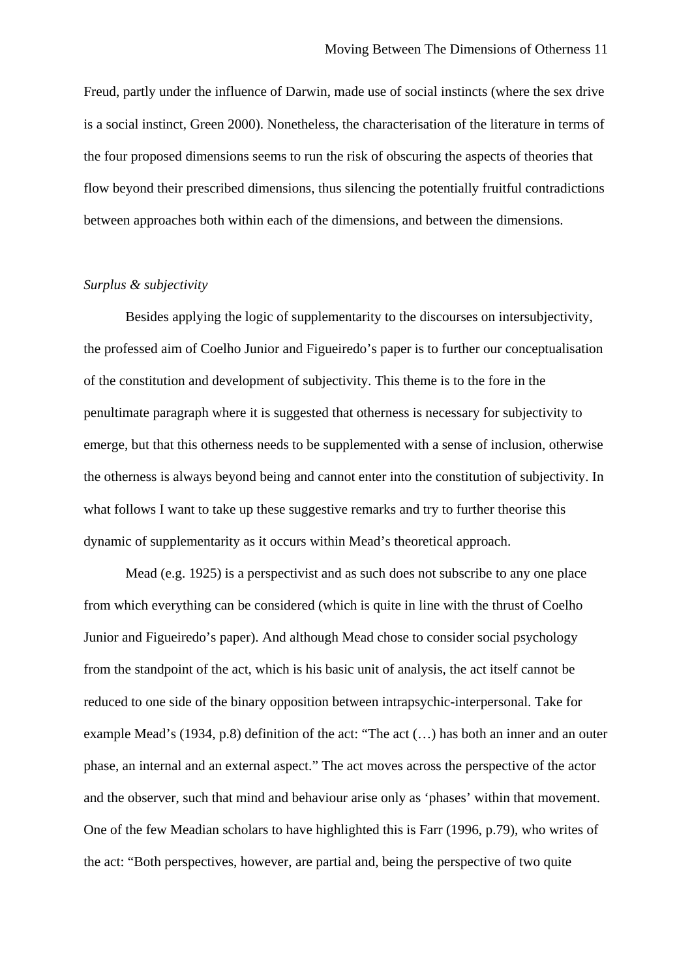Freud, partly under the influence of Darwin, made use of social instincts (where the sex drive is a social instinct, Green 2000). Nonetheless, the characterisation of the literature in terms of the four proposed dimensions seems to run the risk of obscuring the aspects of theories that flow beyond their prescribed dimensions, thus silencing the potentially fruitful contradictions between approaches both within each of the dimensions, and between the dimensions.

#### *Surplus & subjectivity*

Besides applying the logic of supplementarity to the discourses on intersubjectivity, the professed aim of Coelho Junior and Figueiredo's paper is to further our conceptualisation of the constitution and development of subjectivity. This theme is to the fore in the penultimate paragraph where it is suggested that otherness is necessary for subjectivity to emerge, but that this otherness needs to be supplemented with a sense of inclusion, otherwise the otherness is always beyond being and cannot enter into the constitution of subjectivity. In what follows I want to take up these suggestive remarks and try to further theorise this dynamic of supplementarity as it occurs within Mead's theoretical approach.

Mead (e.g. 1925) is a perspectivist and as such does not subscribe to any one place from which everything can be considered (which is quite in line with the thrust of Coelho Junior and Figueiredo's paper). And although Mead chose to consider social psychology from the standpoint of the act, which is his basic unit of analysis, the act itself cannot be reduced to one side of the binary opposition between intrapsychic-interpersonal. Take for example Mead's (1934, p.8) definition of the act: "The act (...) has both an inner and an outer phase, an internal and an external aspect." The act moves across the perspective of the actor and the observer, such that mind and behaviour arise only as 'phases' within that movement. One of the few Meadian scholars to have highlighted this is Farr (1996, p.79), who writes of the act: "Both perspectives, however, are partial and, being the perspective of two quite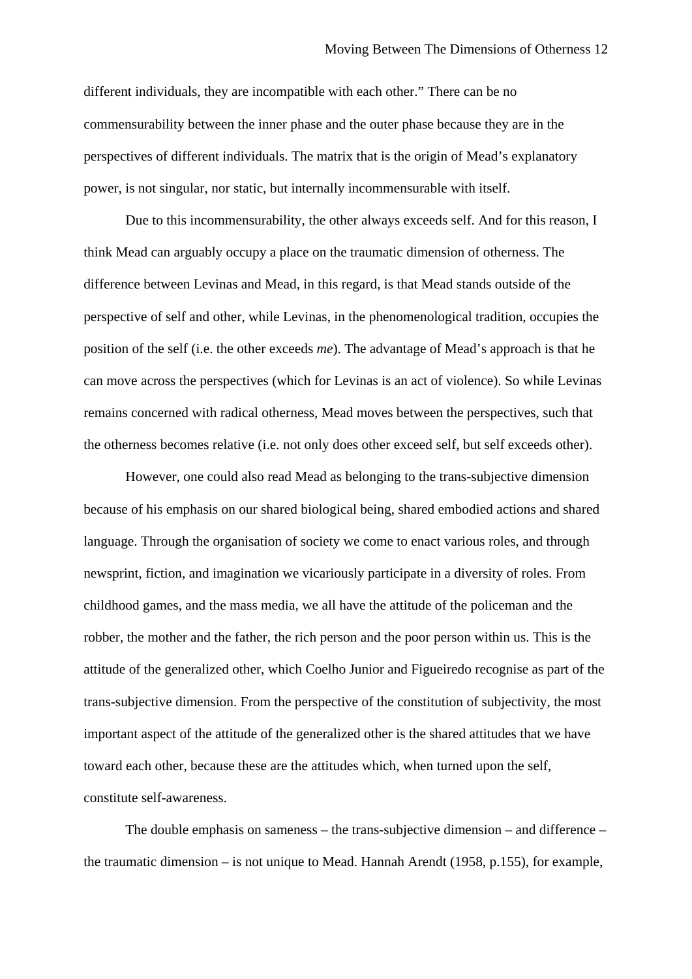different individuals, they are incompatible with each other." There can be no commensurability between the inner phase and the outer phase because they are in the perspectives of different individuals. The matrix that is the origin of Mead's explanatory power, is not singular, nor static, but internally incommensurable with itself.

Due to this incommensurability, the other always exceeds self. And for this reason, I think Mead can arguably occupy a place on the traumatic dimension of otherness. The difference between Levinas and Mead, in this regard, is that Mead stands outside of the perspective of self and other, while Levinas, in the phenomenological tradition, occupies the position of the self (i.e. the other exceeds *me*). The advantage of Mead's approach is that he can move across the perspectives (which for Levinas is an act of violence). So while Levinas remains concerned with radical otherness, Mead moves between the perspectives, such that the otherness becomes relative (i.e. not only does other exceed self, but self exceeds other).

However, one could also read Mead as belonging to the trans-subjective dimension because of his emphasis on our shared biological being, shared embodied actions and shared language. Through the organisation of society we come to enact various roles, and through newsprint, fiction, and imagination we vicariously participate in a diversity of roles. From childhood games, and the mass media, we all have the attitude of the policeman and the robber, the mother and the father, the rich person and the poor person within us. This is the attitude of the generalized other, which Coelho Junior and Figueiredo recognise as part of the trans-subjective dimension. From the perspective of the constitution of subjectivity, the most important aspect of the attitude of the generalized other is the shared attitudes that we have toward each other, because these are the attitudes which, when turned upon the self, constitute self-awareness.

The double emphasis on sameness – the trans-subjective dimension – and difference – the traumatic dimension – is not unique to Mead. Hannah Arendt (1958, p.155), for example,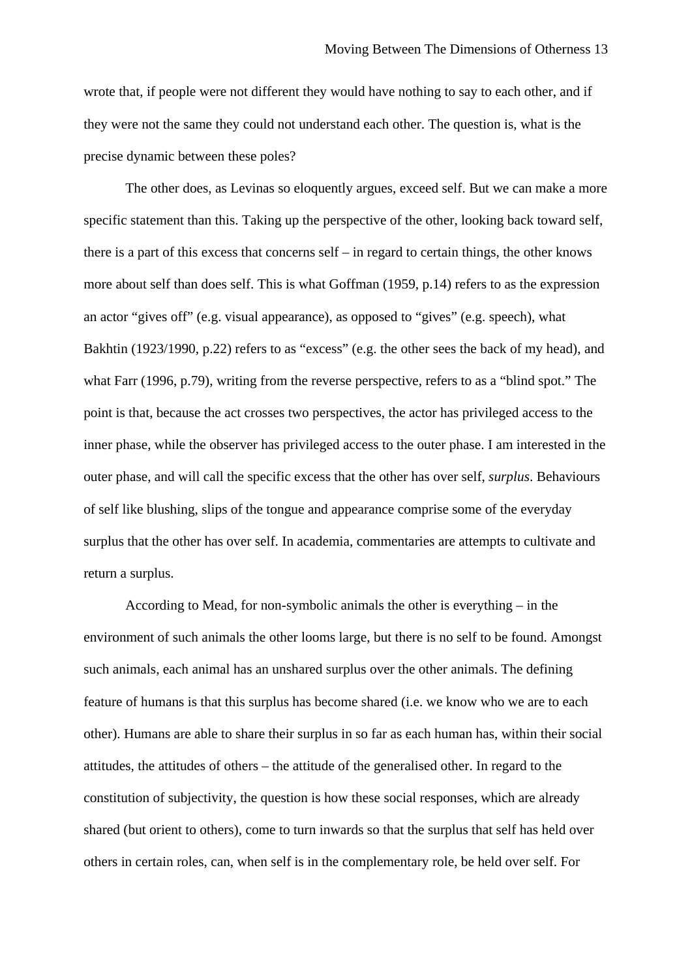wrote that, if people were not different they would have nothing to say to each other, and if they were not the same they could not understand each other. The question is, what is the precise dynamic between these poles?

The other does, as Levinas so eloquently argues, exceed self. But we can make a more specific statement than this. Taking up the perspective of the other, looking back toward self, there is a part of this excess that concerns self – in regard to certain things, the other knows more about self than does self. This is what Goffman (1959, p.14) refers to as the expression an actor "gives off" (e.g. visual appearance), as opposed to "gives" (e.g. speech), what Bakhtin (1923/1990, p.22) refers to as "excess" (e.g. the other sees the back of my head), and what Farr (1996, p.79), writing from the reverse perspective, refers to as a "blind spot." The point is that, because the act crosses two perspectives, the actor has privileged access to the inner phase, while the observer has privileged access to the outer phase. I am interested in the outer phase, and will call the specific excess that the other has over self, *surplus*. Behaviours of self like blushing, slips of the tongue and appearance comprise some of the everyday surplus that the other has over self. In academia, commentaries are attempts to cultivate and return a surplus.

According to Mead, for non-symbolic animals the other is everything – in the environment of such animals the other looms large, but there is no self to be found. Amongst such animals, each animal has an unshared surplus over the other animals. The defining feature of humans is that this surplus has become shared (i.e. we know who we are to each other). Humans are able to share their surplus in so far as each human has, within their social attitudes, the attitudes of others – the attitude of the generalised other. In regard to the constitution of subjectivity, the question is how these social responses, which are already shared (but orient to others), come to turn inwards so that the surplus that self has held over others in certain roles, can, when self is in the complementary role, be held over self. For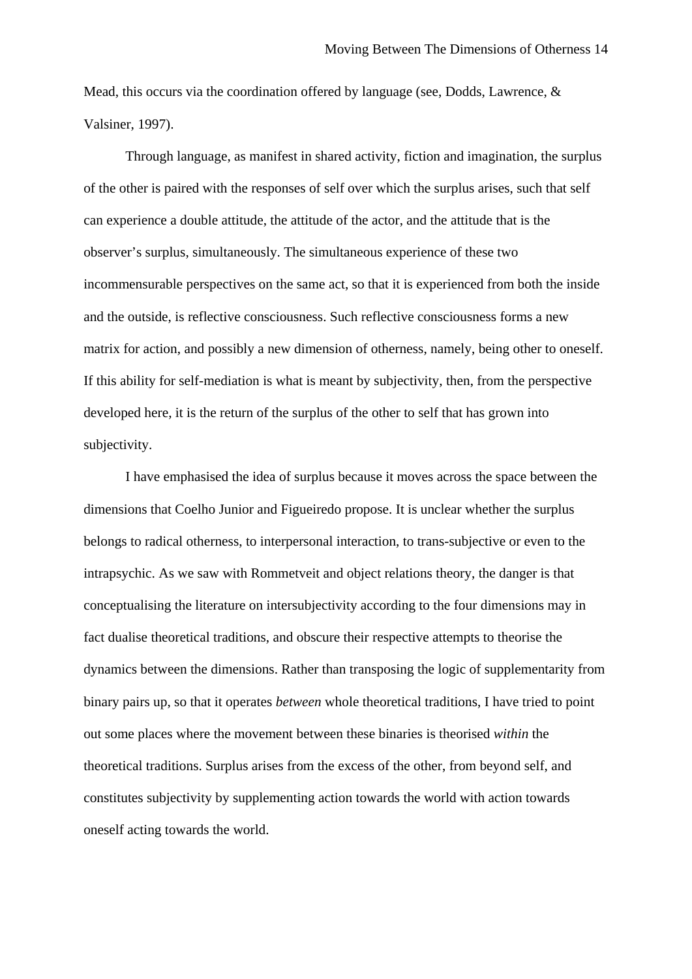Mead, this occurs via the coordination offered by language (see, Dodds, Lawrence, & Valsiner, 1997).

Through language, as manifest in shared activity, fiction and imagination, the surplus of the other is paired with the responses of self over which the surplus arises, such that self can experience a double attitude, the attitude of the actor, and the attitude that is the observer's surplus, simultaneously. The simultaneous experience of these two incommensurable perspectives on the same act, so that it is experienced from both the inside and the outside, is reflective consciousness. Such reflective consciousness forms a new matrix for action, and possibly a new dimension of otherness, namely, being other to oneself. If this ability for self-mediation is what is meant by subjectivity, then, from the perspective developed here, it is the return of the surplus of the other to self that has grown into subjectivity.

I have emphasised the idea of surplus because it moves across the space between the dimensions that Coelho Junior and Figueiredo propose. It is unclear whether the surplus belongs to radical otherness, to interpersonal interaction, to trans-subjective or even to the intrapsychic. As we saw with Rommetveit and object relations theory, the danger is that conceptualising the literature on intersubjectivity according to the four dimensions may in fact dualise theoretical traditions, and obscure their respective attempts to theorise the dynamics between the dimensions. Rather than transposing the logic of supplementarity from binary pairs up, so that it operates *between* whole theoretical traditions, I have tried to point out some places where the movement between these binaries is theorised *within* the theoretical traditions. Surplus arises from the excess of the other, from beyond self, and constitutes subjectivity by supplementing action towards the world with action towards oneself acting towards the world.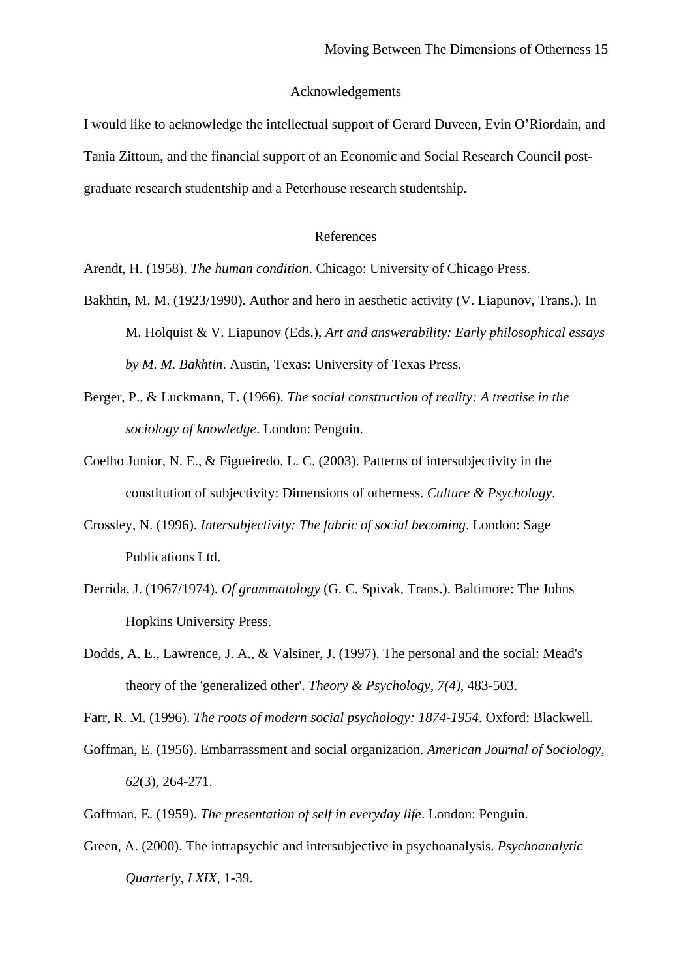#### Acknowledgements

I would like to acknowledge the intellectual support of Gerard Duveen, Evin O'Riordain, and Tania Zittoun, and the financial support of an Economic and Social Research Council postgraduate research studentship and a Peterhouse research studentship.

#### References

Arendt, H. (1958). *The human condition*. Chicago: University of Chicago Press.

- Bakhtin, M. M. (1923/1990). Author and hero in aesthetic activity (V. Liapunov, Trans.). In M. Holquist & V. Liapunov (Eds.), *Art and answerability: Early philosophical essays by M. M. Bakhtin*. Austin, Texas: University of Texas Press.
- Berger, P., & Luckmann, T. (1966). *The social construction of reality: A treatise in the sociology of knowledge*. London: Penguin.
- Coelho Junior, N. E., & Figueiredo, L. C. (2003). Patterns of intersubjectivity in the constitution of subjectivity: Dimensions of otherness. *Culture & Psychology*.
- Crossley, N. (1996). *Intersubjectivity: The fabric of social becoming*. London: Sage Publications Ltd.
- Derrida, J. (1967/1974). *Of grammatology* (G. C. Spivak, Trans.). Baltimore: The Johns Hopkins University Press.
- Dodds, A. E., Lawrence, J. A., & Valsiner, J. (1997). The personal and the social: Mead's theory of the 'generalized other'. *Theory & Psychology, 7(4)*, 483-503.

Farr, R. M. (1996). *The roots of modern social psychology: 1874-1954*. Oxford: Blackwell.

- Goffman, E. (1956). Embarrassment and social organization. *American Journal of Sociology, 62*(3), 264-271.
- Goffman, E. (1959). *The presentation of self in everyday life*. London: Penguin.
- Green, A. (2000). The intrapsychic and intersubjective in psychoanalysis. *Psychoanalytic Quarterly, LXIX*, 1-39.